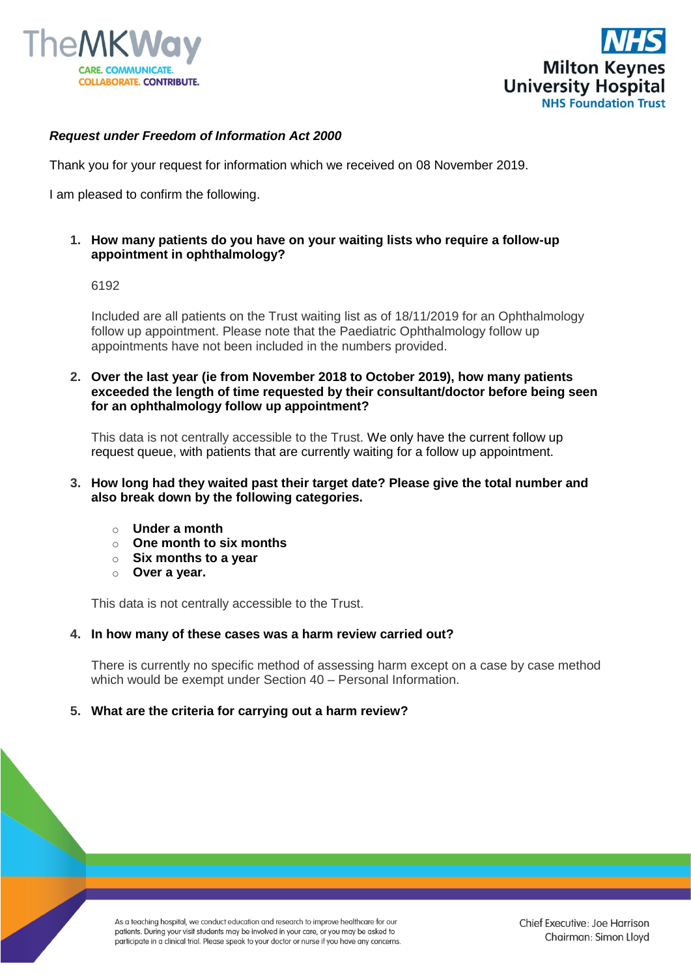



# *Request under Freedom of Information Act 2000*

Thank you for your request for information which we received on 08 November 2019.

I am pleased to confirm the following.

**1. How many patients do you have on your waiting lists who require a follow-up appointment in ophthalmology?**

## 6192

Included are all patients on the Trust waiting list as of 18/11/2019 for an Ophthalmology follow up appointment. Please note that the Paediatric Ophthalmology follow up appointments have not been included in the numbers provided.

**2. Over the last year (ie from November 2018 to October 2019), how many patients exceeded the length of time requested by their consultant/doctor before being seen for an ophthalmology follow up appointment?**

This data is not centrally accessible to the Trust. We only have the current follow up request queue, with patients that are currently waiting for a follow up appointment.

- **3. How long had they waited past their target date? Please give the total number and also break down by the following categories.**
	- o **Under a month**
	- o **One month to six months**
	- o **Six months to a year**
	- o **Over a year.**

This data is not centrally accessible to the Trust.

#### **4. In how many of these cases was a harm review carried out?**

There is currently no specific method of assessing harm except on a case by case method which would be exempt under Section 40 – Personal Information.

#### **5. What are the criteria for carrying out a harm review?**

As a teaching hospital, we conduct education and research to improve healthcare for our patients. During your visit students may be involved in your care, or you may be asked to participate in a clinical trial. Please speak to your doctor or nurse if you have any concerns.